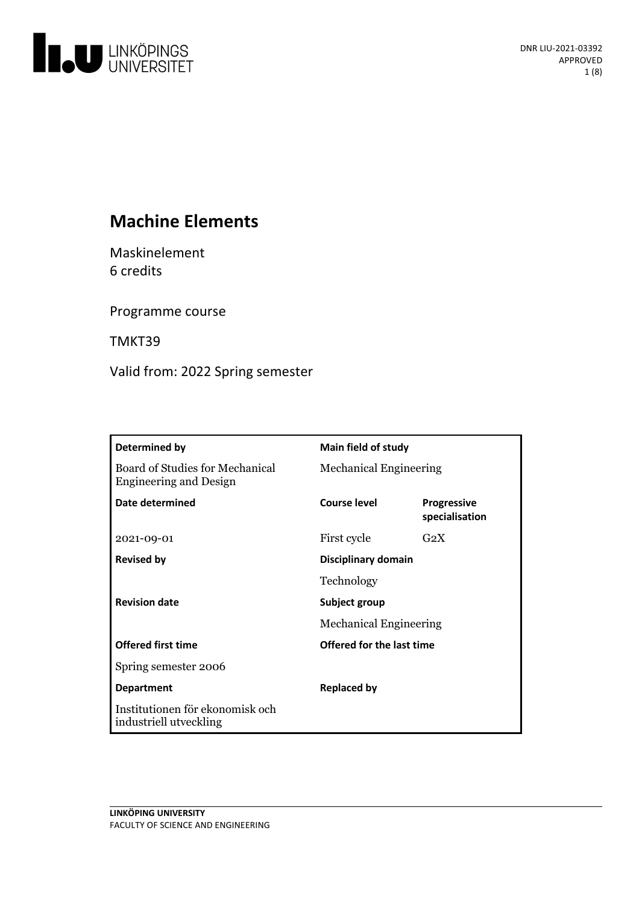

# **Machine Elements**

Maskinelement 6 credits

Programme course

TMKT39

Valid from: 2022 Spring semester

| Determined by                                                           | Main field of study                            |                                      |
|-------------------------------------------------------------------------|------------------------------------------------|--------------------------------------|
| <b>Board of Studies for Mechanical</b><br><b>Engineering and Design</b> | <b>Mechanical Engineering</b>                  |                                      |
| Date determined                                                         | <b>Course level</b>                            | <b>Progressive</b><br>specialisation |
| 2021-09-01                                                              | First cycle                                    | G <sub>2</sub> X                     |
| <b>Revised by</b>                                                       | Disciplinary domain                            |                                      |
|                                                                         | Technology                                     |                                      |
| <b>Revision date</b>                                                    | Subject group<br><b>Mechanical Engineering</b> |                                      |
|                                                                         |                                                |                                      |
| <b>Offered first time</b>                                               | Offered for the last time                      |                                      |
| Spring semester 2006                                                    |                                                |                                      |
| <b>Department</b>                                                       | <b>Replaced by</b>                             |                                      |
| Institutionen för ekonomisk och<br>industriell utveckling               |                                                |                                      |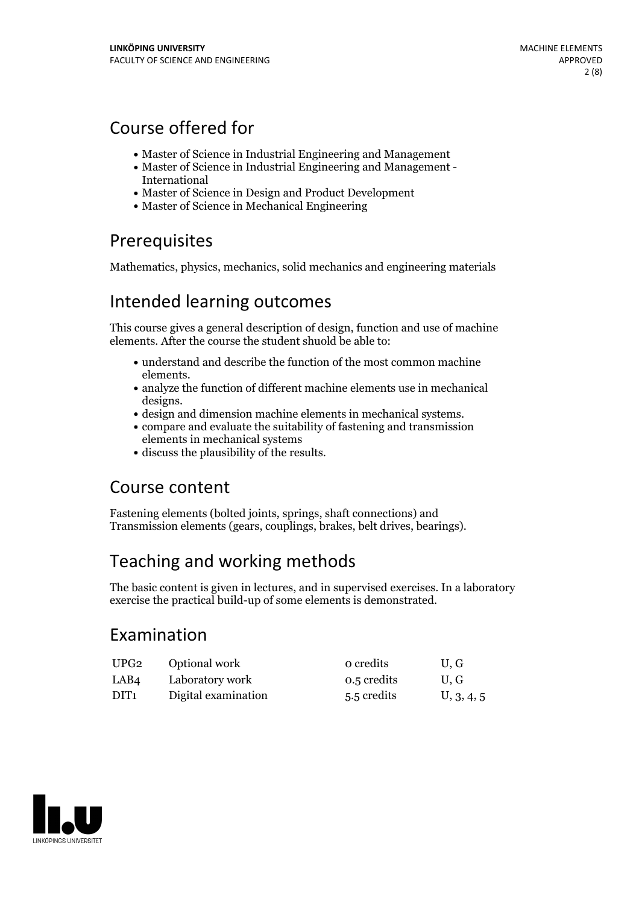## Course offered for

- Master of Science in Industrial Engineering and Management
- Master of Science in Industrial Engineering and Management International
- Master of Science in Design and Product Development
- Master of Science in Mechanical Engineering

## Prerequisites

Mathematics, physics, mechanics, solid mechanics and engineering materials

## Intended learning outcomes

This course gives a general description of design, function and use of machine elements. After the course the student shuold be able to:

- understand and describe the function of the most common machine elements.<br>• analyze the function of different machine elements use in mechanical
- 
- designs.<br>• design and dimension machine elements in mechanical systems.<br>• compare and evaluate the suitability of fastening and transmission
- elements in mechanical systems
- discuss the plausibility of the results.

## Course content

Fastening elements (bolted joints, springs, shaft connections) and Transmission elements (gears, couplings, brakes, belt drives, bearings).

## Teaching and working methods

The basic content is given in lectures, and in supervised exercises. In a laboratory exercise the practical build-up of some elements is demonstrated.

## Examination

| UPG <sub>2</sub> | Optional work       | o credits   | U.G        |
|------------------|---------------------|-------------|------------|
| LAB4             | Laboratory work     | 0.5 credits | U.G        |
| DIT <sub>1</sub> | Digital examination | 5.5 credits | U, 3, 4, 5 |

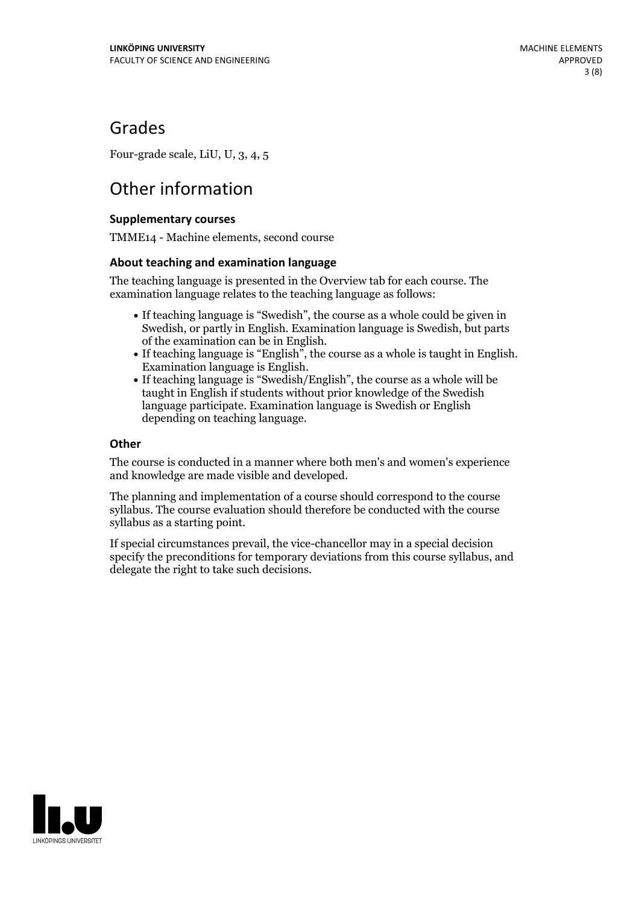## Grades

Four-grade scale, LiU, U, 3, 4, 5

## Other information

### **Supplementarycourses**

TMME14 - Machine elements, second course

### **About teaching and examination language**

The teaching language is presented in the Overview tab for each course. The examination language relates to the teaching language as follows:

- If teaching language is "Swedish", the course as a whole could be given in Swedish, or partly in English. Examination language is Swedish, but parts
- of the examination can be in English. If teaching language is "English", the course as <sup>a</sup> whole is taught in English. Examination language is English. If teaching language is "Swedish/English", the course as <sup>a</sup> whole will be
- taught in English if students without prior knowledge of the Swedish language participate. Examination language is Swedish or English depending on teaching language.

### **Other**

The course is conducted in a manner where both men's and women's experience and knowledge are made visible and developed.

The planning and implementation of a course should correspond to the course syllabus. The course evaluation should therefore be conducted with the course syllabus as a starting point.

If special circumstances prevail, the vice-chancellor may in a special decision specify the preconditions for temporary deviations from this course syllabus, and delegate the right to take such decisions.

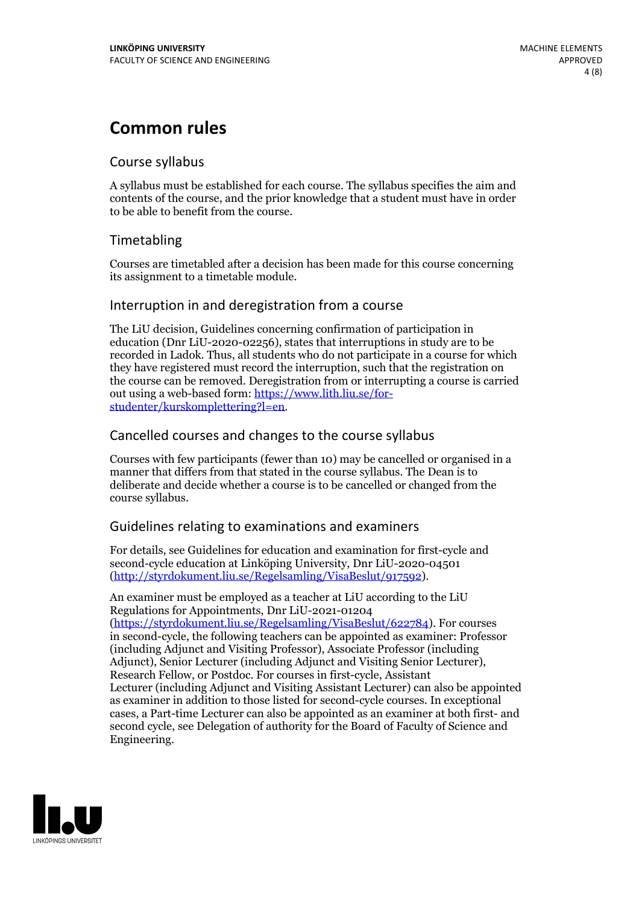## **Common rules**

### Course syllabus

A syllabus must be established for each course. The syllabus specifies the aim and contents of the course, and the prior knowledge that a student must have in order to be able to benefit from the course.

## Timetabling

Courses are timetabled after a decision has been made for this course concerning its assignment to a timetable module.

### Interruption in and deregistration from a course

The LiU decision, Guidelines concerning confirmation of participation in education (Dnr LiU-2020-02256), states that interruptions in study are to be recorded in Ladok. Thus, all students who do not participate in a course for which they have registered must record the interruption, such that the registration on the course can be removed. Deregistration from or interrupting a course is carried out using <sup>a</sup> web-based form: https://www.lith.liu.se/for- [studenter/kurskomplettering?l=en.](https://www.lith.liu.se/for-studenter/kurskomplettering?l=en)

## Cancelled courses and changes to the course syllabus

Courses with few participants (fewer than 10) may be cancelled or organised in a manner that differs from that stated in the course syllabus. The Dean is to deliberate and decide whether a course is to be cancelled or changed from the course syllabus.

## Guidelines relating to examinations and examiners

For details, see Guidelines for education and examination for first-cycle and second-cycle education at Linköping University, Dnr LiU-2020-04501 [\(http://styrdokument.liu.se/Regelsamling/VisaBeslut/917592\)](http://styrdokument.liu.se/Regelsamling/VisaBeslut/917592).

An examiner must be employed as a teacher at LiU according to the LiU Regulations for Appointments, Dnr LiU-2021-01204 [\(https://styrdokument.liu.se/Regelsamling/VisaBeslut/622784](https://styrdokument.liu.se/Regelsamling/VisaBeslut/622784)). For courses in second-cycle, the following teachers can be appointed as examiner: Professor (including Adjunct and Visiting Professor), Associate Professor (including Adjunct), Senior Lecturer (including Adjunct and Visiting Senior Lecturer), Research Fellow, or Postdoc. For courses in first-cycle, Assistant Lecturer (including Adjunct and Visiting Assistant Lecturer) can also be appointed as examiner in addition to those listed for second-cycle courses. In exceptional cases, a Part-time Lecturer can also be appointed as an examiner at both first- and second cycle, see Delegation of authority for the Board of Faculty of Science and Engineering.

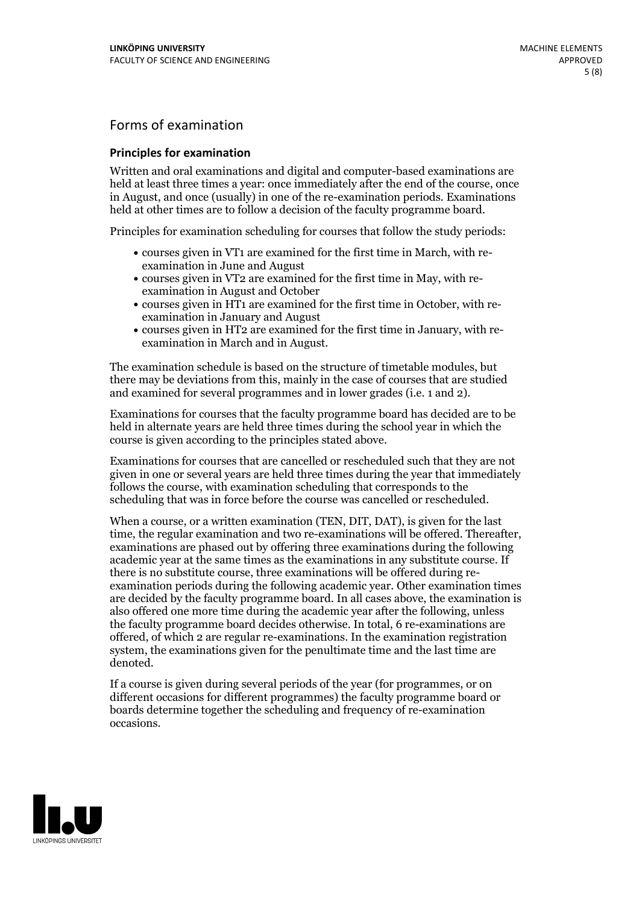## Forms of examination

#### **Principles for examination**

Written and oral examinations and digital and computer-based examinations are held at least three times a year: once immediately after the end of the course, once in August, and once (usually) in one of the re-examination periods. Examinations held at other times are to follow a decision of the faculty programme board.

Principles for examination scheduling for courses that follow the study periods:

- courses given in VT1 are examined for the first time in March, with re-examination in June and August
- courses given in VT2 are examined for the first time in May, with re-examination in August and October
- courses given in HT1 are examined for the first time in October, with re-examination in January and August
- courses given in HT2 are examined for the first time in January, with re-examination in March and in August.

The examination schedule is based on the structure of timetable modules, but there may be deviations from this, mainly in the case of courses that are studied and examined for several programmes and in lower grades (i.e. 1 and 2).

Examinations for courses that the faculty programme board has decided are to be held in alternate years are held three times during the school year in which the course is given according to the principles stated above.

Examinations for courses that are cancelled orrescheduled such that they are not given in one or several years are held three times during the year that immediately follows the course, with examination scheduling that corresponds to the scheduling that was in force before the course was cancelled or rescheduled.

When a course, or a written examination (TEN, DIT, DAT), is given for the last time, the regular examination and two re-examinations will be offered. Thereafter, examinations are phased out by offering three examinations during the following academic year at the same times as the examinations in any substitute course. If there is no substitute course, three examinations will be offered during re- examination periods during the following academic year. Other examination times are decided by the faculty programme board. In all cases above, the examination is also offered one more time during the academic year after the following, unless the faculty programme board decides otherwise. In total, 6 re-examinations are offered, of which 2 are regular re-examinations. In the examination registration system, the examinations given for the penultimate time and the last time are denoted.

If a course is given during several periods of the year (for programmes, or on different occasions for different programmes) the faculty programme board or boards determine together the scheduling and frequency of re-examination occasions.

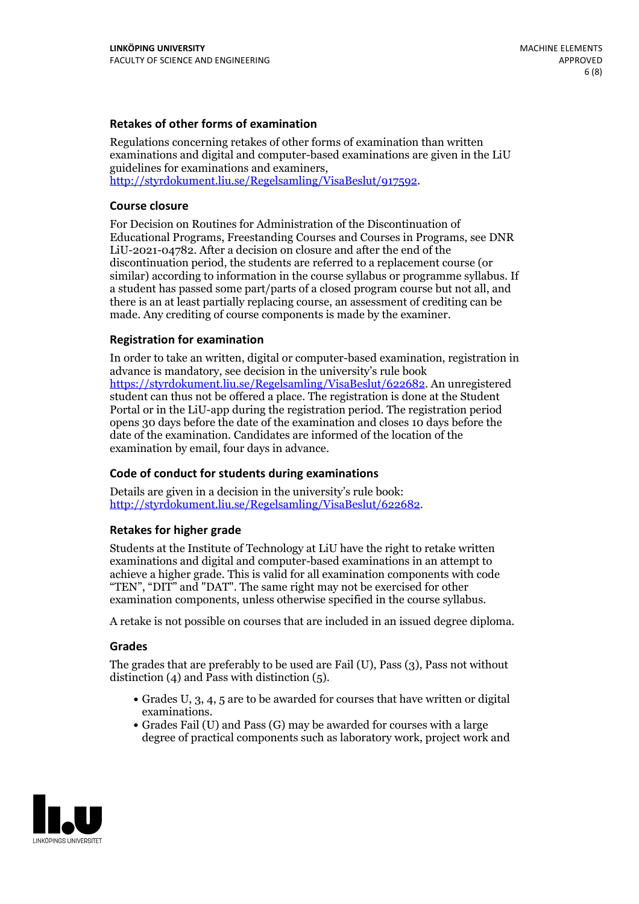### **Retakes of other forms of examination**

Regulations concerning retakes of other forms of examination than written examinations and digital and computer-based examinations are given in the LiU guidelines for examinations and examiners, [http://styrdokument.liu.se/Regelsamling/VisaBeslut/917592.](http://styrdokument.liu.se/Regelsamling/VisaBeslut/917592)

#### **Course closure**

For Decision on Routines for Administration of the Discontinuation of Educational Programs, Freestanding Courses and Courses in Programs, see DNR LiU-2021-04782. After a decision on closure and after the end of the discontinuation period, the students are referred to a replacement course (or similar) according to information in the course syllabus or programme syllabus. If a student has passed some part/parts of a closed program course but not all, and there is an at least partially replacing course, an assessment of crediting can be made. Any crediting of course components is made by the examiner.

#### **Registration for examination**

In order to take an written, digital or computer-based examination, registration in advance is mandatory, see decision in the university's rule book [https://styrdokument.liu.se/Regelsamling/VisaBeslut/622682.](https://styrdokument.liu.se/Regelsamling/VisaBeslut/622682) An unregistered student can thus not be offered a place. The registration is done at the Student Portal or in the LiU-app during the registration period. The registration period opens 30 days before the date of the examination and closes 10 days before the date of the examination. Candidates are informed of the location of the examination by email, four days in advance.

### **Code of conduct for students during examinations**

Details are given in a decision in the university's rule book: <http://styrdokument.liu.se/Regelsamling/VisaBeslut/622682>.

#### **Retakes for higher grade**

Students at the Institute of Technology at LiU have the right to retake written examinations and digital and computer-based examinations in an attempt to achieve a higher grade. This is valid for all examination components with code "TEN", "DIT" and "DAT". The same right may not be exercised for other examination components, unless otherwise specified in the course syllabus.

A retake is not possible on courses that are included in an issued degree diploma.

#### **Grades**

The grades that are preferably to be used are Fail (U), Pass (3), Pass not without distinction  $(4)$  and Pass with distinction  $(5)$ .

- Grades U, 3, 4, 5 are to be awarded for courses that have written or digital examinations.<br>• Grades Fail (U) and Pass (G) may be awarded for courses with a large
- degree of practical components such as laboratory work, project work and

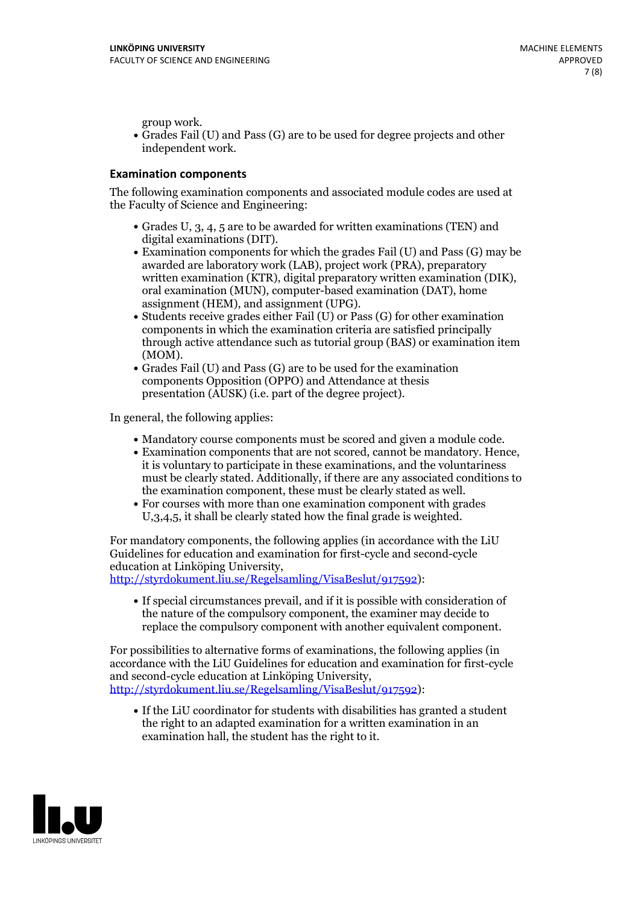group work.<br>• Grades Fail (U) and Pass (G) are to be used for degree projects and other independent work.

### **Examination components**

The following examination components and associated module codes are used at the Faculty of Science and Engineering:

- Grades U, 3, 4, 5 are to be awarded for written examinations (TEN) and
- digital examinations (DIT).<br>• Examination components for which the grades Fail (U) and Pass (G) may be awarded are laboratory work (LAB), project work (PRA), preparatory written examination (KTR), digital preparatory written examination (DIK), oral examination (MUN), computer-based examination (DAT), home
- assignment (HEM), and assignment (UPG).<br>• Students receive grades either Fail (U) or Pass (G) for other examination components in which the examination criteria are satisfied principally through active attendance such as tutorial group (BAS) or examination item
- (MOM).<br>• Grades Fail (U) and Pass (G) are to be used for the examination components Opposition (OPPO) and Attendance at thesis presentation (AUSK) (i.e. part of the degree project).

In general, the following applies:

- 
- Mandatory course components must be scored and given <sup>a</sup> module code. Examination components that are not scored, cannot be mandatory. Hence, it is voluntary to participate in these examinations, and the voluntariness must be clearly stated. Additionally, if there are any associated conditions to
- the examination component, these must be clearly stated as well.<br>• For courses with more than one examination component with grades U,3,4,5, it shall be clearly stated how the final grade is weighted.

For mandatory components, the following applies (in accordance with the LiU Guidelines for education and examination for first-cycle and second-cycle education at Linköping University,<br>[http://styrdokument.liu.se/Regelsamling/VisaBeslut/917592\)](http://styrdokument.liu.se/Regelsamling/VisaBeslut/917592):

If special circumstances prevail, and if it is possible with consideration of the nature of the compulsory component, the examiner may decide to replace the compulsory component with another equivalent component.

For possibilities to alternative forms of examinations, the following applies (in accordance with the LiU Guidelines for education and examination for first-cycle [http://styrdokument.liu.se/Regelsamling/VisaBeslut/917592\)](http://styrdokument.liu.se/Regelsamling/VisaBeslut/917592):

If the LiU coordinator for students with disabilities has granted a student the right to an adapted examination for a written examination in an examination hall, the student has the right to it.